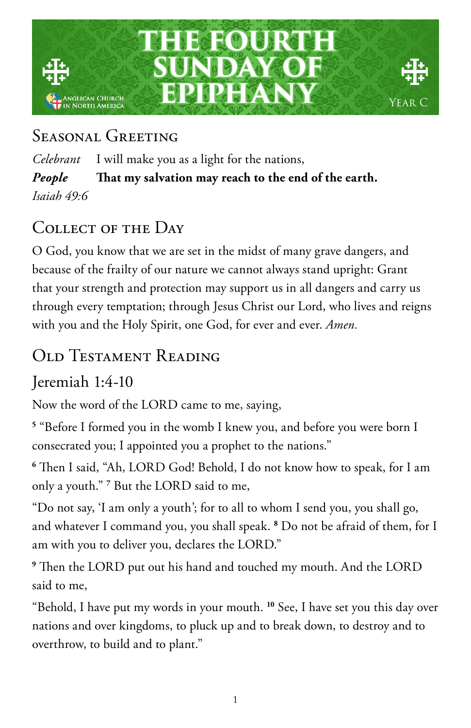

# SEASONAL GREETING

*Celebrant* I will make you as a light for the nations, *People* **That my salvation may reach to the end of the earth.** *Isaiah 49:6*

# COLLECT OF THE DAY

O God, you know that we are set in the midst of many grave dangers, and because of the frailty of our nature we cannot always stand upright: Grant that your strength and protection may support us in all dangers and carry us through every temptation; through Jesus Christ our Lord, who lives and reigns with you and the Holy Spirit, one God, for ever and ever. *Amen.* 

# Old Testament Reading

Jeremiah 1:4-10

Now the word of the LORD came to me, saying,

**5** "Before I formed you in the womb I knew you, and before you were born I consecrated you; I appointed you a prophet to the nations."

**6** Then I said, "Ah, LORD God! Behold, I do not know how to speak, for I am only a youth." **<sup>7</sup>** But the LORD said to me,

"Do not say, 'I am only a youth'; for to all to whom I send you, you shall go, and whatever I command you, you shall speak. **<sup>8</sup>** Do not be afraid of them, for I am with you to deliver you, declares the LORD."

**9** Then the LORD put out his hand and touched my mouth. And the LORD said to me,

"Behold, I have put my words in your mouth. **<sup>10</sup>** See, I have set you this day over nations and over kingdoms, to pluck up and to break down, to destroy and to overthrow, to build and to plant."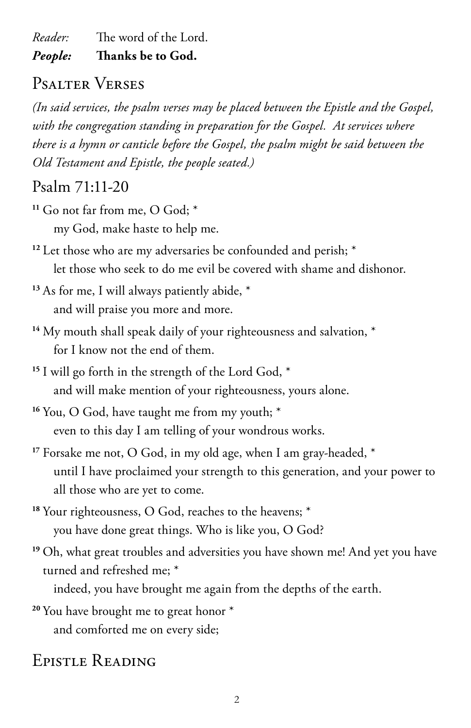*Reader:* The word of the Lord. *People:* **Thanks be to God.** 

## Psalter Verses

*(In said services, the psalm verses may be placed between the Epistle and the Gospel, with the congregation standing in preparation for the Gospel. At services where there is a hymn or canticle before the Gospel, the psalm might be said between the Old Testament and Epistle, the people seated.)*

#### Psalm 71:11-20

- **<sup>11</sup>** Go not far from me, O God; \* my God, make haste to help me.
- <sup>12</sup> Let those who are my adversaries be confounded and perish;  $*$ let those who seek to do me evil be covered with shame and dishonor.
- <sup>13</sup> As for me, I will always patiently abide,  $*$ and will praise you more and more.
- <sup>14</sup> My mouth shall speak daily of your righteousness and salvation,  $*$ for I know not the end of them.
- **<sup>15</sup>** I will go forth in the strength of the Lord God, \* and will make mention of your righteousness, yours alone.
- <sup>16</sup> You, O God, have taught me from my youth;  $*$ even to this day I am telling of your wondrous works.
- **<sup>17</sup>** Forsake me not, O God, in my old age, when I am gray-headed, \* until I have proclaimed your strength to this generation, and your power to all those who are yet to come.
- **<sup>18</sup>** Your righteousness, O God, reaches to the heavens; \* you have done great things. Who is like you, O God?
- <sup>19</sup> Oh, what great troubles and adversities you have shown me! And yet you have turned and refreshed me; \*

indeed, you have brought me again from the depths of the earth.

**<sup>20</sup>** You have brought me to great honor \* and comforted me on every side;

## Epistle Reading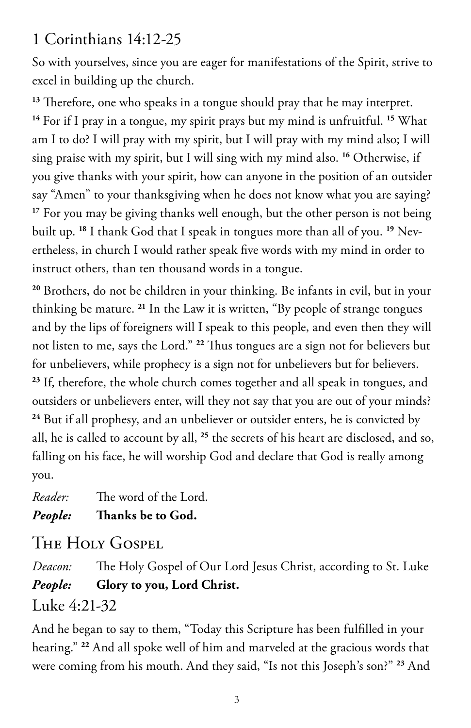## 1 Corinthians 14:12-25

So with yourselves, since you are eager for manifestations of the Spirit, strive to excel in building up the church.

**<sup>13</sup>** Therefore, one who speaks in a tongue should pray that he may interpret. **<sup>14</sup>** For if I pray in a tongue, my spirit prays but my mind is unfruitful. **<sup>15</sup>** What am I to do? I will pray with my spirit, but I will pray with my mind also; I will sing praise with my spirit, but I will sing with my mind also. **<sup>16</sup>** Otherwise, if you give thanks with your spirit, how can anyone in the position of an outsider say "Amen" to your thanksgiving when he does not know what you are saying? <sup>17</sup> For you may be giving thanks well enough, but the other person is not being built up. **18** I thank God that I speak in tongues more than all of you. **19** Nevertheless, in church I would rather speak five words with my mind in order to instruct others, than ten thousand words in a tongue.

**<sup>20</sup>** Brothers, do not be children in your thinking. Be infants in evil, but in your thinking be mature. **<sup>21</sup>** In the Law it is written, "By people of strange tongues and by the lips of foreigners will I speak to this people, and even then they will not listen to me, says the Lord." **<sup>22</sup>** Thus tongues are a sign not for believers but for unbelievers, while prophecy is a sign not for unbelievers but for believers. **<sup>23</sup>** If, therefore, the whole church comes together and all speak in tongues, and outsiders or unbelievers enter, will they not say that you are out of your minds? **<sup>24</sup>** But if all prophesy, and an unbeliever or outsider enters, he is convicted by all, he is called to account by all, **<sup>25</sup>** the secrets of his heart are disclosed, and so, falling on his face, he will worship God and declare that God is really among you.

*Reader:* The word of the Lord. *People:* **Thanks be to God.** 

# THE HOLY GOSPEL

*Deacon:* The Holy Gospel of Our Lord Jesus Christ, according to St. Luke *People:* **Glory to you, Lord Christ.**

#### Luke 4:21-32

And he began to say to them, "Today this Scripture has been fulfilled in your hearing." **<sup>22</sup>** And all spoke well of him and marveled at the gracious words that were coming from his mouth. And they said, "Is not this Joseph's son?" **23** And